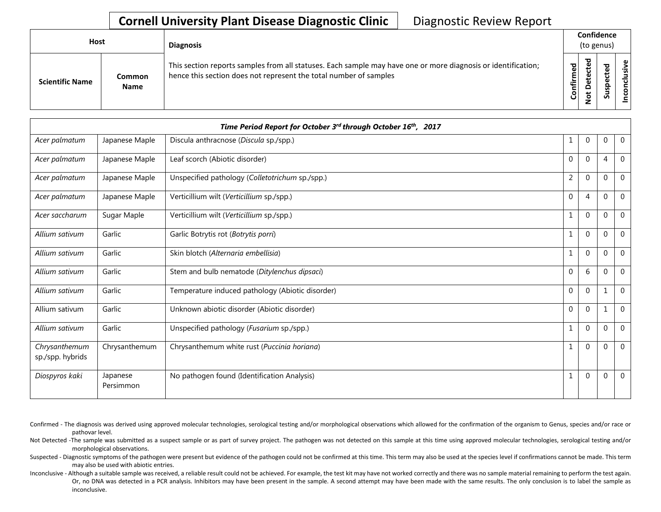| Host |                        |                              | <b>Diagnosis</b>                                                                                                                                                                   |           | Confidence<br>(to genus)               |   |                      |
|------|------------------------|------------------------------|------------------------------------------------------------------------------------------------------------------------------------------------------------------------------------|-----------|----------------------------------------|---|----------------------|
|      | <b>Scientific Name</b> | <b>Common</b><br><b>Name</b> | This section reports samples from all statuses. Each sample may have one or more diagnosis or identification;<br>hence this section does not represent the total number of samples | Confirmed | ᇃ<br>ن<br>Φ<br>ã<br>$\Omega$<br>پ<br>z | n | Φ<br>usiv<br>᠊ᠣ<br>ō |

| Time Period Report for October 3rd through October 16th, 2017 |                       |                                                  |                |                |                |                |  |  |  |  |
|---------------------------------------------------------------|-----------------------|--------------------------------------------------|----------------|----------------|----------------|----------------|--|--|--|--|
| Acer palmatum                                                 | Japanese Maple        | Discula anthracnose (Discula sp./spp.)           | 1              | $\mathbf 0$    | 0              | $\mathbf 0$    |  |  |  |  |
| Acer palmatum                                                 | Japanese Maple        | Leaf scorch (Abiotic disorder)                   | 0              | $\mathbf 0$    | $\overline{4}$ | $\mathbf 0$    |  |  |  |  |
| Acer palmatum                                                 | Japanese Maple        | Unspecified pathology (Colletotrichum sp./spp.)  | $\overline{2}$ | $\mathbf 0$    | $\mathbf{0}$   | $\mathbf 0$    |  |  |  |  |
| Acer palmatum                                                 | Japanese Maple        | Verticillium wilt (Verticillium sp./spp.)        | 0              | 4              | $\Omega$       | $\Omega$       |  |  |  |  |
| Acer saccharum                                                | Sugar Maple           | Verticillium wilt (Verticillium sp./spp.)        | 1              | $\mathbf 0$    | $\mathbf{0}$   | $\mathbf 0$    |  |  |  |  |
| Allium sativum                                                | Garlic                | Garlic Botrytis rot (Botrytis porri)             | 1              | $\mathbf 0$    | $\Omega$       | $\mathbf 0$    |  |  |  |  |
| Allium sativum                                                | Garlic                | Skin blotch (Alternaria embellisia)              |                | $\mathbf 0$    | $\mathbf 0$    | $\overline{0}$ |  |  |  |  |
| Allium sativum                                                | Garlic                | Stem and bulb nematode (Ditylenchus dipsaci)     | 0              | 6              | $\Omega$       | $\overline{0}$ |  |  |  |  |
| Allium sativum                                                | Garlic                | Temperature induced pathology (Abiotic disorder) | $\mathbf{0}$   | $\Omega$       | 1              | $\mathbf 0$    |  |  |  |  |
| Allium sativum                                                | Garlic                | Unknown abiotic disorder (Abiotic disorder)      | $\mathbf 0$    | $\Omega$       | $\mathbf{1}$   | $\Omega$       |  |  |  |  |
| Allium sativum                                                | Garlic                | Unspecified pathology (Fusarium sp./spp.)        | 1              | $\overline{0}$ | $\Omega$       | $\mathbf 0$    |  |  |  |  |
| Chrysanthemum<br>sp./spp. hybrids                             | Chrysanthemum         | Chrysanthemum white rust (Puccinia horiana)      | 1              | $\Omega$       | $\Omega$       | $\Omega$       |  |  |  |  |
| Diospyros kaki                                                | Japanese<br>Persimmon | No pathogen found (Identification Analysis)      |                | $\Omega$       | $\mathbf 0$    | $\mathbf 0$    |  |  |  |  |

- Confirmed The diagnosis was derived using approved molecular technologies, serological testing and/or morphological observations which allowed for the confirmation of the organism to Genus, species and/or race or pathovar level.
- Not Detected -The sample was submitted as a suspect sample or as part of survey project. The pathogen was not detected on this sample at this time using approved molecular technologies, serological testing and/or morphological observations.
- Suspected Diagnostic symptoms of the pathogen were present but evidence of the pathogen could not be confirmed at this time. This term may also be used at the species level if confirmations cannot be made. This term may also be used with abiotic entries.
- Inconclusive Although a suitable sample was received, a reliable result could not be achieved. For example, the test kit may have not worked correctly and there was no sample material remaining to perform the test again. Or, no DNA was detected in a PCR analysis. Inhibitors may have been present in the sample. A second attempt may have been made with the same results. The only conclusion is to label the sample as inconclusive.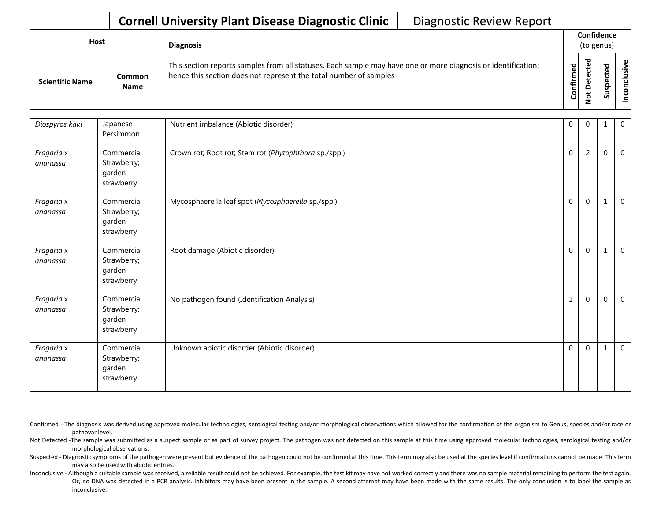| <b>Host</b>            |                       | <b>Diagnosis</b>                                                                                                                                                                   |           |                                                | Confidence<br>(to genus) |                          |
|------------------------|-----------------------|------------------------------------------------------------------------------------------------------------------------------------------------------------------------------------|-----------|------------------------------------------------|--------------------------|--------------------------|
| <b>Scientific Name</b> | Common<br><b>Name</b> | This section reports samples from all statuses. Each sample may have one or more diagnosis or identification;<br>hence this section does not represent the total number of samples | Confirmed | ᇃ<br>ڣ<br>ن<br>ete<br>۵<br>$\overline{5}$<br>- | ᇃ<br>s<br>ທັ             | $\mathbf \omega$<br>usiv |

| Diospyros kaki         | Japanese<br>Persimmon                             | Nutrient imbalance (Abiotic disorder)                 | 0                | $\Omega$       |              | $\overline{0}$ |
|------------------------|---------------------------------------------------|-------------------------------------------------------|------------------|----------------|--------------|----------------|
| Fragaria x<br>ananassa | Commercial<br>Strawberry;<br>garden<br>strawberry | Crown rot; Root rot; Stem rot (Phytophthora sp./spp.) | $\boldsymbol{0}$ | $\overline{2}$ | $\Omega$     | $\Omega$       |
| Fragaria x<br>ananassa | Commercial<br>Strawberry;<br>garden<br>strawberry | Mycosphaerella leaf spot (Mycosphaerella sp./spp.)    | $\mathbf 0$      | $\mathbf 0$    | 1            | $\overline{0}$ |
| Fragaria x<br>ananassa | Commercial<br>Strawberry;<br>garden<br>strawberry | Root damage (Abiotic disorder)                        | $\mathbf 0$      | $\Omega$       | 1            | $\Omega$       |
| Fragaria x<br>ananassa | Commercial<br>Strawberry;<br>garden<br>strawberry | No pathogen found (Identification Analysis)           | $\mathbf{1}$     | $\Omega$       | $\mathbf{0}$ | $\Omega$       |
| Fragaria x<br>ananassa | Commercial<br>Strawberry;<br>garden<br>strawberry | Unknown abiotic disorder (Abiotic disorder)           | $\mathbf 0$      | $\mathbf{0}$   | 1            | $\Omega$       |

Confirmed - The diagnosis was derived using approved molecular technologies, serological testing and/or morphological observations which allowed for the confirmation of the organism to Genus, species and/or race or pathovar level.

Not Detected -The sample was submitted as a suspect sample or as part of survey project. The pathogen was not detected on this sample at this time using approved molecular technologies, serological testing and/or morphological observations.

Suspected - Diagnostic symptoms of the pathogen were present but evidence of the pathogen could not be confirmed at this time. This term may also be used at the species level if confirmations cannot be made. This term may also be used with abiotic entries.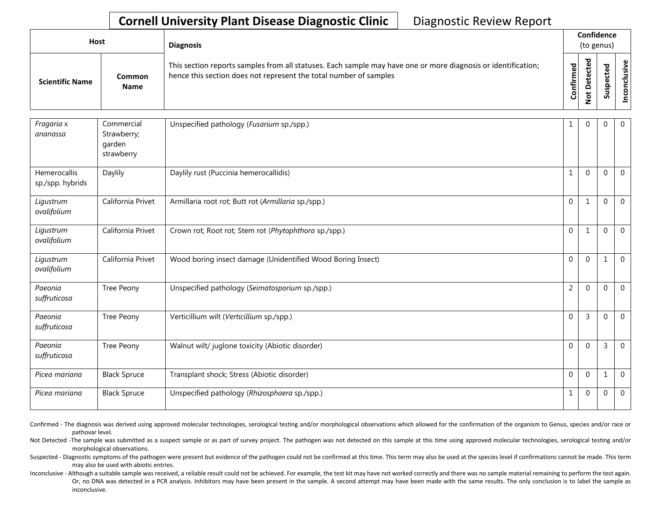| <b>Host</b>            |                       | <b>Diagnosis</b>                                                                                                                                                                   |                       |                                            | Confidence<br>(to genus) |                                     |
|------------------------|-----------------------|------------------------------------------------------------------------------------------------------------------------------------------------------------------------------------|-----------------------|--------------------------------------------|--------------------------|-------------------------------------|
| <b>Scientific Name</b> | Common<br><b>Name</b> | This section reports samples from all statuses. Each sample may have one or more diagnosis or identification;<br>hence this section does not represent the total number of samples | Φ<br>Ē<br>≞.<br>Confi | ᇃ<br>ω<br>ن<br>Φ<br>ى<br>ى<br>$\circ$<br>- | S                        | ω,<br>.≥<br>$\overline{\mathbf{s}}$ |

| Fragaria x<br>ananassa                  | Commercial<br>Strawberry;<br>garden<br>strawberry | Unspecified pathology (Fusarium sp./spp.)                   | 1              | $\Omega$       | $\Omega$ | $\overline{0}$ |
|-----------------------------------------|---------------------------------------------------|-------------------------------------------------------------|----------------|----------------|----------|----------------|
| <b>Hemerocallis</b><br>sp./spp. hybrids | Daylily                                           | Daylily rust (Puccinia hemerocallidis)                      | 1              | $\mathbf{0}$   | $\Omega$ | $\overline{0}$ |
| Ligustrum<br>ovalifolium                | California Privet                                 | Armillaria root rot; Butt rot (Armillaria sp./spp.)         | $\Omega$       | $\mathbf{1}$   | $\Omega$ | $\overline{0}$ |
| Ligustrum<br>ovalifolium                | California Privet                                 | Crown rot; Root rot; Stem rot (Phytophthora sp./spp.)       | $\Omega$       | $\mathbf{1}$   | $\Omega$ | $\overline{0}$ |
| Ligustrum<br>ovalifolium                | California Privet                                 | Wood boring insect damage (Unidentified Wood Boring Insect) | $\mathbf{0}$   | $\mathbf{0}$   | 1        | $\overline{0}$ |
| Paeonia<br>suffruticosa                 | Tree Peony                                        | Unspecified pathology (Seimatosporium sp./spp.)             | $\overline{2}$ | $\Omega$       | $\Omega$ | $\overline{0}$ |
| Paeonia<br>suffruticosa                 | Tree Peony                                        | Verticillium wilt (Verticillium sp./spp.)                   | $\Omega$       | $\overline{3}$ | $\Omega$ | $\Omega$       |
| Paeonia<br>suffruticosa                 | Tree Peony                                        | Walnut wilt/ juglone toxicity (Abiotic disorder)            | $\mathbf 0$    | $\Omega$       | 3        | $\overline{0}$ |
| Picea mariana                           | <b>Black Spruce</b>                               | Transplant shock; Stress (Abiotic disorder)                 | $\Omega$       | $\mathbf{0}$   | 1        | $\overline{0}$ |
| Picea mariana                           | <b>Black Spruce</b>                               | Unspecified pathology (Rhizosphaera sp./spp.)               | $\mathbf{1}$   | $\Omega$       | $\Omega$ | $\overline{0}$ |

Confirmed - The diagnosis was derived using approved molecular technologies, serological testing and/or morphological observations which allowed for the confirmation of the organism to Genus, species and/or race or pathovar level.

Not Detected -The sample was submitted as a suspect sample or as part of survey project. The pathogen was not detected on this sample at this time using approved molecular technologies, serological testing and/or morphological observations.

Suspected - Diagnostic symptoms of the pathogen were present but evidence of the pathogen could not be confirmed at this time. This term may also be used at the species level if confirmations cannot be made. This term may also be used with abiotic entries.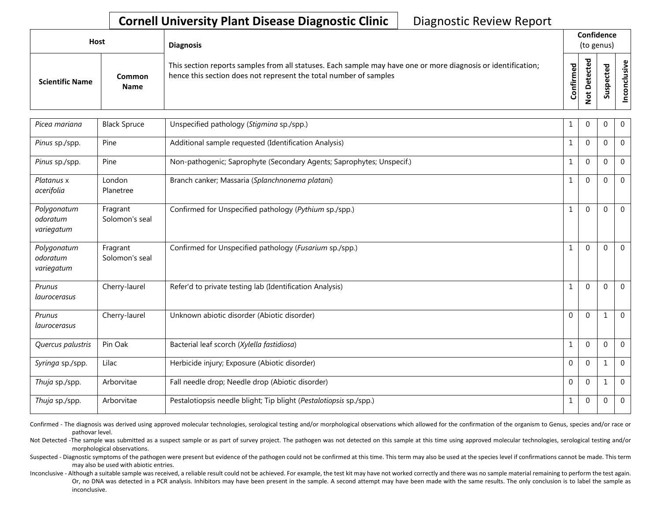| <b>Host</b>            |                       | <b>Diagnosis</b>                                                                                                                                                                   |           |                                                | Confidence<br>(to genus) |           |
|------------------------|-----------------------|------------------------------------------------------------------------------------------------------------------------------------------------------------------------------------|-----------|------------------------------------------------|--------------------------|-----------|
| <b>Scientific Name</b> | Common<br><b>Name</b> | This section reports samples from all statuses. Each sample may have one or more diagnosis or identification;<br>hence this section does not represent the total number of samples | Confirmed | ᇃ<br>ڣ<br>ن<br>ete<br>۵<br>$\overline{5}$<br>- | ᇃ<br>s                   | ഄ<br>usiv |

| Picea mariana                         | <b>Black Spruce</b>        | Unspecified pathology (Stigmina sp./spp.)                             |              | 0            | 0            | $\overline{0}$ |
|---------------------------------------|----------------------------|-----------------------------------------------------------------------|--------------|--------------|--------------|----------------|
| Pinus sp./spp.                        | Pine                       | Additional sample requested (Identification Analysis)                 |              | $\mathbf{0}$ | 0            | $\overline{0}$ |
| Pinus sp./spp.                        | Pine                       | Non-pathogenic; Saprophyte (Secondary Agents; Saprophytes; Unspecif.) | 1            | $\Omega$     | 0            | $\mathbf 0$    |
| Platanus x<br>acerifolia              | London<br>Planetree        | Branch canker; Massaria (Splanchnonema platani)                       |              | $\Omega$     | 0            | $\Omega$       |
| Polygonatum<br>odoratum<br>variegatum | Fragrant<br>Solomon's seal | Confirmed for Unspecified pathology (Pythium sp./spp.)                | 1            | $\Omega$     | 0            | $\mathbf 0$    |
| Polygonatum<br>odoratum<br>variegatum | Fragrant<br>Solomon's seal | Confirmed for Unspecified pathology (Fusarium sp./spp.)               |              | $\Omega$     | 0            | 0              |
| Prunus<br>laurocerasus                | Cherry-laurel              | Refer'd to private testing lab (Identification Analysis)              |              | $\Omega$     | 0            | $\Omega$       |
| Prunus<br>laurocerasus                | Cherry-laurel              | Unknown abiotic disorder (Abiotic disorder)                           | $\mathbf{0}$ | $\mathbf 0$  |              | $\Omega$       |
| Quercus palustris                     | Pin Oak                    | Bacterial leaf scorch (Xylella fastidiosa)                            | 1            | $\mathbf{0}$ | 0            | $\mathbf 0$    |
| Syringa sp./spp.                      | Lilac                      | Herbicide injury; Exposure (Abiotic disorder)                         | $\Omega$     | $\Omega$     |              | $\mathbf 0$    |
| Thuja sp./spp.                        | Arborvitae                 | Fall needle drop; Needle drop (Abiotic disorder)                      | $\mathbf{0}$ | $\theta$     | $\mathbf{1}$ | $\mathbf 0$    |
| Thuja sp./spp.                        | Arborvitae                 | Pestalotiopsis needle blight; Tip blight (Pestalotiopsis sp./spp.)    | 1            | $\mathbf 0$  | 0            | $\mathbf 0$    |

Confirmed - The diagnosis was derived using approved molecular technologies, serological testing and/or morphological observations which allowed for the confirmation of the organism to Genus, species and/or race or pathovar level.

Not Detected -The sample was submitted as a suspect sample or as part of survey project. The pathogen was not detected on this sample at this time using approved molecular technologies, serological testing and/or morphological observations.

Suspected - Diagnostic symptoms of the pathogen were present but evidence of the pathogen could not be confirmed at this time. This term may also be used at the species level if confirmations cannot be made. This term may also be used with abiotic entries.